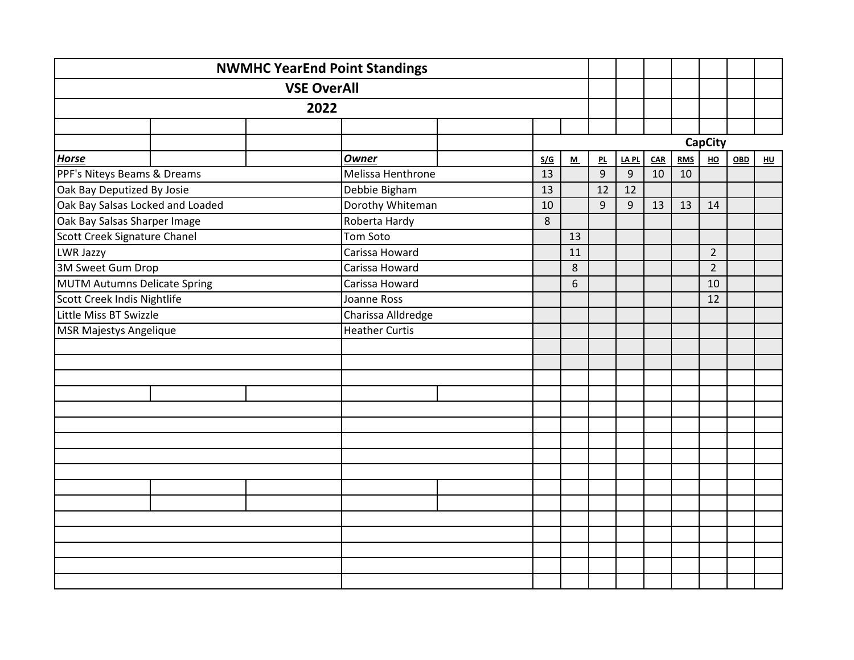|                                     | <b>NWMHC YearEnd Point Standings</b> |                       |     |         |                |                |     |            |                |     |    |
|-------------------------------------|--------------------------------------|-----------------------|-----|---------|----------------|----------------|-----|------------|----------------|-----|----|
|                                     | <b>VSE OverAll</b>                   |                       |     |         |                |                |     |            |                |     |    |
|                                     | 2022                                 |                       |     |         |                |                |     |            |                |     |    |
|                                     |                                      |                       |     |         |                |                |     |            |                |     |    |
|                                     |                                      |                       |     |         |                |                |     |            | <b>CapCity</b> |     |    |
| <b>Horse</b>                        |                                      | <b>Owner</b>          | S/G | M       | 맨              | <b>LAPL</b>    | CAR | <b>RMS</b> | H <sub>O</sub> | OBD | HU |
| PPF's Niteys Beams & Dreams         |                                      | Melissa Henthrone     | 13  |         | 9              | $\overline{9}$ | 10  | 10         |                |     |    |
| Oak Bay Deputized By Josie          |                                      | Debbie Bigham         | 13  |         | 12             | 12             |     |            |                |     |    |
| Oak Bay Salsas Locked and Loaded    |                                      | Dorothy Whiteman      | 10  |         | $\overline{9}$ | $\overline{9}$ | 13  | 13         | 14             |     |    |
| Oak Bay Salsas Sharper Image        |                                      | Roberta Hardy         | 8   |         |                |                |     |            |                |     |    |
| Scott Creek Signature Chanel        |                                      | Tom Soto              |     | 13      |                |                |     |            |                |     |    |
| LWR Jazzy                           |                                      | Carissa Howard        |     | 11      |                |                |     |            | $\overline{2}$ |     |    |
| 3M Sweet Gum Drop                   |                                      | Carissa Howard        |     | $\,8\,$ |                |                |     |            | $\overline{2}$ |     |    |
| <b>MUTM Autumns Delicate Spring</b> |                                      | Carissa Howard        |     | 6       |                |                |     |            | 10             |     |    |
| Scott Creek Indis Nightlife         |                                      | Joanne Ross           |     |         |                |                |     |            | 12             |     |    |
| Little Miss BT Swizzle              |                                      | Charissa Alldredge    |     |         |                |                |     |            |                |     |    |
| <b>MSR Majestys Angelique</b>       |                                      | <b>Heather Curtis</b> |     |         |                |                |     |            |                |     |    |
|                                     |                                      |                       |     |         |                |                |     |            |                |     |    |
|                                     |                                      |                       |     |         |                |                |     |            |                |     |    |
|                                     |                                      |                       |     |         |                |                |     |            |                |     |    |
|                                     |                                      |                       |     |         |                |                |     |            |                |     |    |
|                                     |                                      |                       |     |         |                |                |     |            |                |     |    |
|                                     |                                      |                       |     |         |                |                |     |            |                |     |    |
|                                     |                                      |                       |     |         |                |                |     |            |                |     |    |
|                                     |                                      |                       |     |         |                |                |     |            |                |     |    |
|                                     |                                      |                       |     |         |                |                |     |            |                |     |    |
|                                     |                                      |                       |     |         |                |                |     |            |                |     |    |
|                                     |                                      |                       |     |         |                |                |     |            |                |     |    |
|                                     |                                      |                       |     |         |                |                |     |            |                |     |    |
|                                     |                                      |                       |     |         |                |                |     |            |                |     |    |
|                                     |                                      |                       |     |         |                |                |     |            |                |     |    |
|                                     |                                      |                       |     |         |                |                |     |            |                |     |    |
|                                     |                                      |                       |     |         |                |                |     |            |                |     |    |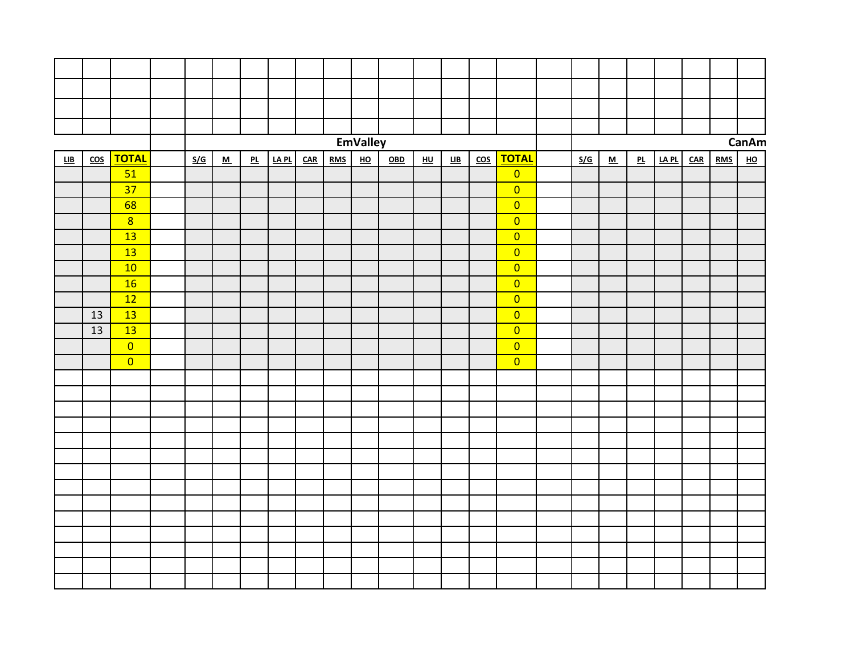|     |                         |                 |     |                          |    |       |     |            | <b>EmValley</b>           |     |                           |                            |                         |                         |     |                          |    |      |     |            | CanAm                     |
|-----|-------------------------|-----------------|-----|--------------------------|----|-------|-----|------------|---------------------------|-----|---------------------------|----------------------------|-------------------------|-------------------------|-----|--------------------------|----|------|-----|------------|---------------------------|
| LIB | $\overline{\text{cos}}$ | <b>TOTAL</b>    | S/G | $\underline{\mathbf{M}}$ | PL | LA PL | CAR | <b>RMS</b> | $\underline{\mathsf{HO}}$ | OBD | $\underline{\mathsf{HU}}$ | $\underline{\mathsf{LIB}}$ | $\overline{\text{cos}}$ | <u>TOTAL</u>            | S/G | $\underline{\mathsf{M}}$ | PL | IAPL | CAR | <b>RMS</b> | $\underline{\mathsf{HO}}$ |
|     |                         | 51              |     |                          |    |       |     |            |                           |     |                           |                            |                         | $\overline{0}$          |     |                          |    |      |     |            |                           |
|     |                         | $\overline{37}$ |     |                          |    |       |     |            |                           |     |                           |                            |                         | $\overline{0}$          |     |                          |    |      |     |            |                           |
|     |                         | 68              |     |                          |    |       |     |            |                           |     |                           |                            |                         | $\overline{0}$          |     |                          |    |      |     |            |                           |
|     |                         | 8               |     |                          |    |       |     |            |                           |     |                           |                            |                         | $\overline{0}$          |     |                          |    |      |     |            |                           |
|     |                         | 13              |     |                          |    |       |     |            |                           |     |                           |                            |                         | $\overline{0}$          |     |                          |    |      |     |            |                           |
|     |                         | 13              |     |                          |    |       |     |            |                           |     |                           |                            |                         | $\overline{0}$          |     |                          |    |      |     |            |                           |
|     |                         | 10              |     |                          |    |       |     |            |                           |     |                           |                            |                         | $\overline{\mathbf{0}}$ |     |                          |    |      |     |            |                           |
|     |                         | 16              |     |                          |    |       |     |            |                           |     |                           |                            |                         | $\overline{0}$          |     |                          |    |      |     |            |                           |
|     |                         | 12              |     |                          |    |       |     |            |                           |     |                           |                            |                         | $\overline{0}$          |     |                          |    |      |     |            |                           |
|     | 13                      | 13              |     |                          |    |       |     |            |                           |     |                           |                            |                         | $\overline{0}$          |     |                          |    |      |     |            |                           |
|     | 13                      | 13              |     |                          |    |       |     |            |                           |     |                           |                            |                         | $\overline{0}$          |     |                          |    |      |     |            |                           |
|     |                         | $\overline{0}$  |     |                          |    |       |     |            |                           |     |                           |                            |                         | $\overline{0}$          |     |                          |    |      |     |            |                           |
|     |                         | $\overline{0}$  |     |                          |    |       |     |            |                           |     |                           |                            |                         | $\overline{0}$          |     |                          |    |      |     |            |                           |
|     |                         |                 |     |                          |    |       |     |            |                           |     |                           |                            |                         |                         |     |                          |    |      |     |            |                           |
|     |                         |                 |     |                          |    |       |     |            |                           |     |                           |                            |                         |                         |     |                          |    |      |     |            |                           |
|     |                         |                 |     |                          |    |       |     |            |                           |     |                           |                            |                         |                         |     |                          |    |      |     |            |                           |
|     |                         |                 |     |                          |    |       |     |            |                           |     |                           |                            |                         |                         |     |                          |    |      |     |            |                           |
|     |                         |                 |     |                          |    |       |     |            |                           |     |                           |                            |                         |                         |     |                          |    |      |     |            |                           |
|     |                         |                 |     |                          |    |       |     |            |                           |     |                           |                            |                         |                         |     |                          |    |      |     |            |                           |
|     |                         |                 |     |                          |    |       |     |            |                           |     |                           |                            |                         |                         |     |                          |    |      |     |            |                           |
|     |                         |                 |     |                          |    |       |     |            |                           |     |                           |                            |                         |                         |     |                          |    |      |     |            |                           |
|     |                         |                 |     |                          |    |       |     |            |                           |     |                           |                            |                         |                         |     |                          |    |      |     |            |                           |
|     |                         |                 |     |                          |    |       |     |            |                           |     |                           |                            |                         |                         |     |                          |    |      |     |            |                           |
|     |                         |                 |     |                          |    |       |     |            |                           |     |                           |                            |                         |                         |     |                          |    |      |     |            |                           |
|     |                         |                 |     |                          |    |       |     |            |                           |     |                           |                            |                         |                         |     |                          |    |      |     |            |                           |
|     |                         |                 |     |                          |    |       |     |            |                           |     |                           |                            |                         |                         |     |                          |    |      |     |            |                           |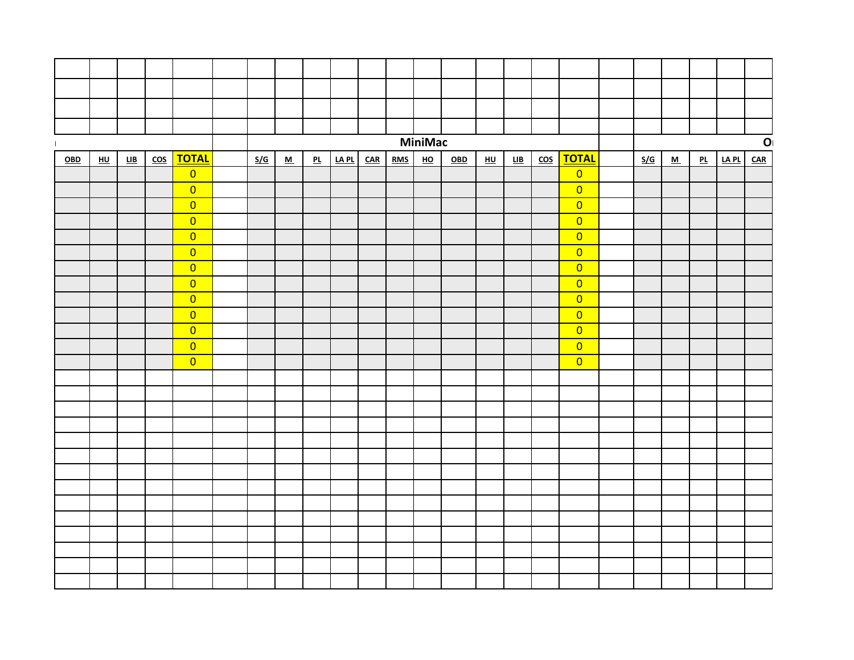|     |         |     |                         |                                  |     |                          |    |       |       |            | <b>MiniMac</b>            |     |         |     |                         |                                  |     |   |    |              | $\mathbf{O}$ |
|-----|---------|-----|-------------------------|----------------------------------|-----|--------------------------|----|-------|-------|------------|---------------------------|-----|---------|-----|-------------------------|----------------------------------|-----|---|----|--------------|--------------|
| OBD | $H\cup$ | LIB | $\overline{\text{cos}}$ | <b>TOTAL</b>                     | S/G | $\underline{\mathsf{M}}$ | PL | LA PL | $CAR$ | <b>RMS</b> | $\underline{\mathsf{HO}}$ | OBD | $H\cup$ | LIB | $\overline{\text{cos}}$ | <b>TOTAL</b>                     | S/G | M | PL | <u>LA PL</u> | $CAR$        |
|     |         |     |                         | $\overline{0}$                   |     |                          |    |       |       |            |                           |     |         |     |                         | $\overline{0}$                   |     |   |    |              |              |
|     |         |     |                         | $\overline{0}$                   |     |                          |    |       |       |            |                           |     |         |     |                         | $\overline{0}$                   |     |   |    |              |              |
|     |         |     |                         | $\overline{0}$                   |     |                          |    |       |       |            |                           |     |         |     |                         | $\overline{0}$                   |     |   |    |              |              |
|     |         |     |                         | $\overline{0}$                   |     |                          |    |       |       |            |                           |     |         |     |                         | $\overline{0}$                   |     |   |    |              |              |
|     |         |     |                         | $\overline{0}$                   |     |                          |    |       |       |            |                           |     |         |     |                         | $\overline{0}$                   |     |   |    |              |              |
|     |         |     |                         | $\overline{0}$                   |     |                          |    |       |       |            |                           |     |         |     |                         | $\overline{0}$                   |     |   |    |              |              |
|     |         |     |                         | $\overline{0}$                   |     |                          |    |       |       |            |                           |     |         |     |                         | $\overline{0}$                   |     |   |    |              |              |
|     |         |     |                         | $\overline{0}$                   |     |                          |    |       |       |            |                           |     |         |     |                         | $\overline{0}$<br>$\overline{0}$ |     |   |    |              |              |
|     |         |     |                         | $\overline{0}$<br>$\overline{0}$ |     |                          |    |       |       |            |                           |     |         |     |                         | $\overline{0}$                   |     |   |    |              |              |
|     |         |     |                         | $\overline{0}$                   |     |                          |    |       |       |            |                           |     |         |     |                         | $\overline{0}$                   |     |   |    |              |              |
|     |         |     |                         | $\overline{0}$                   |     |                          |    |       |       |            |                           |     |         |     |                         | $\overline{0}$                   |     |   |    |              |              |
|     |         |     |                         | $\overline{0}$                   |     |                          |    |       |       |            |                           |     |         |     |                         | $\overline{0}$                   |     |   |    |              |              |
|     |         |     |                         |                                  |     |                          |    |       |       |            |                           |     |         |     |                         |                                  |     |   |    |              |              |
|     |         |     |                         |                                  |     |                          |    |       |       |            |                           |     |         |     |                         |                                  |     |   |    |              |              |
|     |         |     |                         |                                  |     |                          |    |       |       |            |                           |     |         |     |                         |                                  |     |   |    |              |              |
|     |         |     |                         |                                  |     |                          |    |       |       |            |                           |     |         |     |                         |                                  |     |   |    |              |              |
|     |         |     |                         |                                  |     |                          |    |       |       |            |                           |     |         |     |                         |                                  |     |   |    |              |              |
|     |         |     |                         |                                  |     |                          |    |       |       |            |                           |     |         |     |                         |                                  |     |   |    |              |              |
|     |         |     |                         |                                  |     |                          |    |       |       |            |                           |     |         |     |                         |                                  |     |   |    |              |              |
|     |         |     |                         |                                  |     |                          |    |       |       |            |                           |     |         |     |                         |                                  |     |   |    |              |              |
|     |         |     |                         |                                  |     |                          |    |       |       |            |                           |     |         |     |                         |                                  |     |   |    |              |              |
|     |         |     |                         |                                  |     |                          |    |       |       |            |                           |     |         |     |                         |                                  |     |   |    |              |              |
|     |         |     |                         |                                  |     |                          |    |       |       |            |                           |     |         |     |                         |                                  |     |   |    |              |              |
|     |         |     |                         |                                  |     |                          |    |       |       |            |                           |     |         |     |                         |                                  |     |   |    |              |              |
|     |         |     |                         |                                  |     |                          |    |       |       |            |                           |     |         |     |                         |                                  |     |   |    |              |              |
|     |         |     |                         |                                  |     |                          |    |       |       |            |                           |     |         |     |                         |                                  |     |   |    |              |              |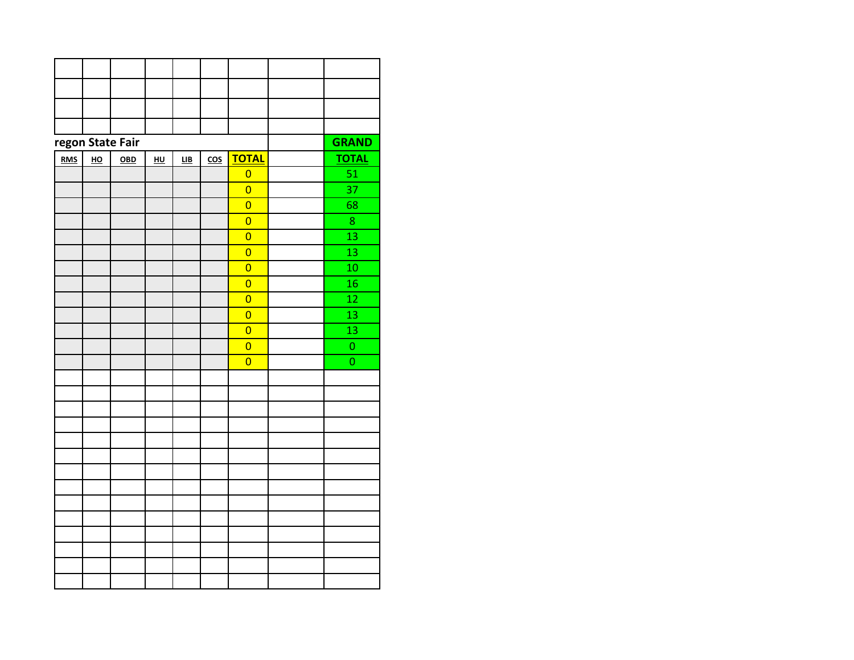|            |                  | regon State Fair |         |                            |                         |                | <b>GRAND</b>    |
|------------|------------------|------------------|---------|----------------------------|-------------------------|----------------|-----------------|
| <u>RMS</u> | $\underline{HO}$ | 0 <sub>BD</sub>  | $H\cup$ | $\underline{\mathsf{LIB}}$ | $\overline{\text{cos}}$ | <b>TOTAL</b>   | <b>TOTAL</b>    |
|            |                  |                  |         |                            |                         | $\overline{0}$ | $\overline{51}$ |
|            |                  |                  |         |                            |                         | $\overline{0}$ | 37              |
|            |                  |                  |         |                            |                         | $\overline{0}$ | 68              |
|            |                  |                  |         |                            |                         | $\overline{0}$ | 8               |
|            |                  |                  |         |                            |                         | $\overline{0}$ | 13              |
|            |                  |                  |         |                            |                         | $\overline{0}$ | $\overline{13}$ |
|            |                  |                  |         |                            |                         | $\overline{0}$ | 10              |
|            |                  |                  |         |                            |                         | $\overline{0}$ | 16              |
|            |                  |                  |         |                            |                         | $\overline{0}$ | 12              |
|            |                  |                  |         |                            |                         | $\overline{0}$ | 13              |
|            |                  |                  |         |                            |                         | $\overline{0}$ | $\overline{13}$ |
|            |                  |                  |         |                            |                         | $\overline{0}$ | $\mathbf 0$     |
|            |                  |                  |         |                            |                         | $\overline{0}$ | $\mathbf 0$     |
|            |                  |                  |         |                            |                         |                |                 |
|            |                  |                  |         |                            |                         |                |                 |
|            |                  |                  |         |                            |                         |                |                 |
|            |                  |                  |         |                            |                         |                |                 |
|            |                  |                  |         |                            |                         |                |                 |
|            |                  |                  |         |                            |                         |                |                 |
|            |                  |                  |         |                            |                         |                |                 |
|            |                  |                  |         |                            |                         |                |                 |
|            |                  |                  |         |                            |                         |                |                 |
|            |                  |                  |         |                            |                         |                |                 |
|            |                  |                  |         |                            |                         |                |                 |
|            |                  |                  |         |                            |                         |                |                 |
|            |                  |                  |         |                            |                         |                |                 |
|            |                  |                  |         |                            |                         |                |                 |
|            |                  |                  |         |                            |                         |                |                 |